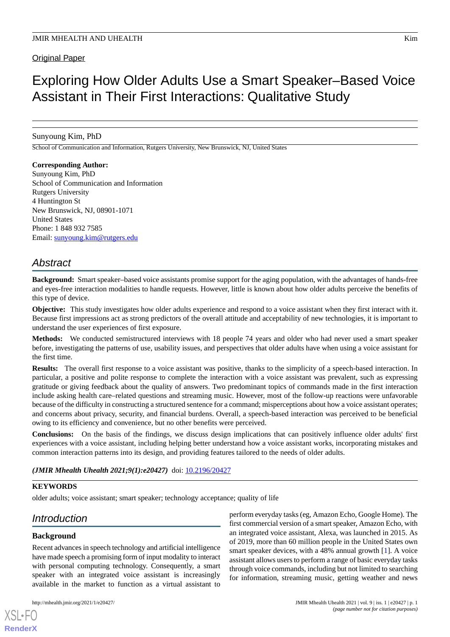# Original Paper

# Exploring How Older Adults Use a Smart Speaker–Based Voice Assistant in Their First Interactions: Qualitative Study

# Sunyoung Kim, PhD

School of Communication and Information, Rutgers University, New Brunswick, NJ, United States

# **Corresponding Author:**

Sunyoung Kim, PhD School of Communication and Information Rutgers University 4 Huntington St New Brunswick, NJ, 08901-1071 United States Phone: 1 848 932 7585 Email: [sunyoung.kim@rutgers.edu](mailto:sunyoung.kim@rutgers.edu)

# *Abstract*

**Background:** Smart speaker–based voice assistants promise support for the aging population, with the advantages of hands-free and eyes-free interaction modalities to handle requests. However, little is known about how older adults perceive the benefits of this type of device.

**Objective:** This study investigates how older adults experience and respond to a voice assistant when they first interact with it. Because first impressions act as strong predictors of the overall attitude and acceptability of new technologies, it is important to understand the user experiences of first exposure.

**Methods:** We conducted semistructured interviews with 18 people 74 years and older who had never used a smart speaker before, investigating the patterns of use, usability issues, and perspectives that older adults have when using a voice assistant for the first time.

**Results:** The overall first response to a voice assistant was positive, thanks to the simplicity of a speech-based interaction. In particular, a positive and polite response to complete the interaction with a voice assistant was prevalent, such as expressing gratitude or giving feedback about the quality of answers. Two predominant topics of commands made in the first interaction include asking health care–related questions and streaming music. However, most of the follow-up reactions were unfavorable because of the difficulty in constructing a structured sentence for a command; misperceptions about how a voice assistant operates; and concerns about privacy, security, and financial burdens. Overall, a speech-based interaction was perceived to be beneficial owing to its efficiency and convenience, but no other benefits were perceived.

**Conclusions:** On the basis of the findings, we discuss design implications that can positively influence older adults' first experiences with a voice assistant, including helping better understand how a voice assistant works, incorporating mistakes and common interaction patterns into its design, and providing features tailored to the needs of older adults.

# *(JMIR Mhealth Uhealth 2021;9(1):e20427)* doi: [10.2196/20427](http://dx.doi.org/10.2196/20427)

# **KEYWORDS**

older adults; voice assistant; smart speaker; technology acceptance; quality of life

# *Introduction*

#### **Background**

Recent advances in speech technology and artificial intelligence have made speech a promising form of input modality to interact with personal computing technology. Consequently, a smart speaker with an integrated voice assistant is increasingly available in the market to function as a virtual assistant to

perform everyday tasks (eg, Amazon Echo, Google Home). The first commercial version of a smart speaker, Amazon Echo, with an integrated voice assistant, Alexa, was launched in 2015. As of 2019, more than 60 million people in the United States own smart speaker devices, with a 48% annual growth [\[1](#page-9-0)]. A voice assistant allows users to perform a range of basic everyday tasks through voice commands, including but not limited to searching for information, streaming music, getting weather and news

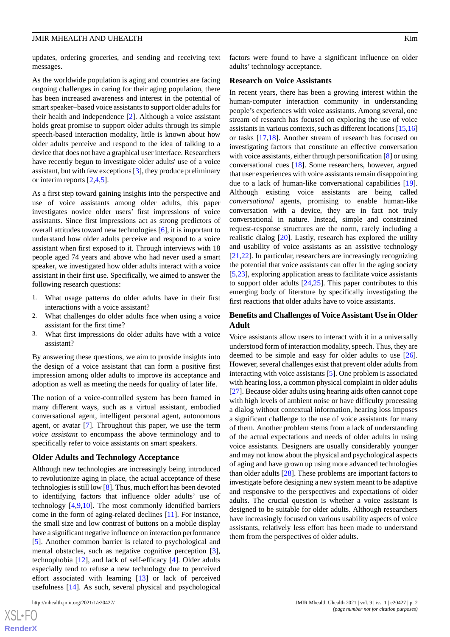updates, ordering groceries, and sending and receiving text messages.

As the worldwide population is aging and countries are facing ongoing challenges in caring for their aging population, there has been increased awareness and interest in the potential of smart speaker–based voice assistants to support older adults for their health and independence [[2\]](#page-9-1). Although a voice assistant holds great promise to support older adults through its simple speech-based interaction modality, little is known about how older adults perceive and respond to the idea of talking to a device that does not have a graphical user interface. Researchers have recently begun to investigate older adults' use of a voice assistant, but with few exceptions [\[3](#page-9-2)], they produce preliminary or interim reports [\[2](#page-9-1),[4](#page-9-3)[,5](#page-9-4)].

As a first step toward gaining insights into the perspective and use of voice assistants among older adults, this paper investigates novice older users' first impressions of voice assistants. Since first impressions act as strong predictors of overall attitudes toward new technologies [[6\]](#page-9-5), it is important to understand how older adults perceive and respond to a voice assistant when first exposed to it. Through interviews with 18 people aged 74 years and above who had never used a smart speaker, we investigated how older adults interact with a voice assistant in their first use. Specifically, we aimed to answer the following research questions:

- 1. What usage patterns do older adults have in their first interactions with a voice assistant?
- 2. What challenges do older adults face when using a voice assistant for the first time?
- 3. What first impressions do older adults have with a voice assistant?

By answering these questions, we aim to provide insights into the design of a voice assistant that can form a positive first impression among older adults to improve its acceptance and adoption as well as meeting the needs for quality of later life.

The notion of a voice-controlled system has been framed in many different ways, such as a virtual assistant, embodied conversational agent, intelligent personal agent, autonomous agent, or avatar [\[7](#page-9-6)]. Throughout this paper, we use the term *voice assistant* to encompass the above terminology and to specifically refer to voice assistants on smart speakers.

#### **Older Adults and Technology Acceptance**

Although new technologies are increasingly being introduced to revolutionize aging in place, the actual acceptance of these technologies is still low [[8\]](#page-9-7). Thus, much effort has been devoted to identifying factors that influence older adults' use of technology [\[4](#page-9-3),[9](#page-9-8)[,10](#page-9-9)]. The most commonly identified barriers come in the form of aging-related declines [\[11](#page-10-0)]. For instance, the small size and low contrast of buttons on a mobile display have a significant negative influence on interaction performance [[5\]](#page-9-4). Another common barrier is related to psychological and mental obstacles, such as negative cognitive perception [[3\]](#page-9-2), technophobia [\[12](#page-10-1)], and lack of self-efficacy [[4](#page-9-3)]. Older adults especially tend to refuse a new technology due to perceived effort associated with learning [[13\]](#page-10-2) or lack of perceived usefulness [\[14](#page-10-3)]. As such, several physical and psychological

factors were found to have a significant influence on older adults' technology acceptance.

#### **Research on Voice Assistants**

In recent years, there has been a growing interest within the human-computer interaction community in understanding people's experiences with voice assistants. Among several, one stream of research has focused on exploring the use of voice assistants in various contexts, such as different locations [\[15](#page-10-4),[16\]](#page-10-5) or tasks [[17](#page-10-6)[,18](#page-10-7)]. Another stream of research has focused on investigating factors that constitute an effective conversation with voice assistants, either through personification [[8\]](#page-9-7) or using conversational cues [[18\]](#page-10-7). Some researchers, however, argued that user experiences with voice assistants remain disappointing due to a lack of human-like conversational capabilities [[19\]](#page-10-8). Although existing voice assistants are being called *conversational* agents, promising to enable human-like conversation with a device, they are in fact not truly conversational in nature. Instead, simple and constrained request-response structures are the norm, rarely including a realistic dialog [[20\]](#page-10-9). Lastly, research has explored the utility and usability of voice assistants as an assistive technology [[21,](#page-10-10)[22\]](#page-10-11). In particular, researchers are increasingly recognizing the potential that voice assistants can offer in the aging society [[5](#page-9-4)[,23](#page-10-12)], exploring application areas to facilitate voice assistants to support older adults [[24](#page-10-13)[,25](#page-10-14)]. This paper contributes to this emerging body of literature by specifically investigating the first reactions that older adults have to voice assistants.

# **Benefits and Challenges of Voice Assistant Use in Older Adult**

Voice assistants allow users to interact with it in a universally understood form of interaction modality, speech. Thus, they are deemed to be simple and easy for older adults to use [[26\]](#page-10-15). However, several challenges exist that prevent older adults from interacting with voice assistants [[5](#page-9-4)]. One problem is associated with hearing loss, a common physical complaint in older adults [[27\]](#page-10-16). Because older adults using hearing aids often cannot cope with high levels of ambient noise or have difficulty processing a dialog without contextual information, hearing loss imposes a significant challenge to the use of voice assistants for many of them. Another problem stems from a lack of understanding of the actual expectations and needs of older adults in using voice assistants. Designers are usually considerably younger and may not know about the physical and psychological aspects of aging and have grown up using more advanced technologies than older adults [[28\]](#page-10-17). These problems are important factors to investigate before designing a new system meant to be adaptive and responsive to the perspectives and expectations of older adults. The crucial question is whether a voice assistant is designed to be suitable for older adults. Although researchers have increasingly focused on various usability aspects of voice assistants, relatively less effort has been made to understand them from the perspectives of older adults.

 $XS$ -FO **[RenderX](http://www.renderx.com/)**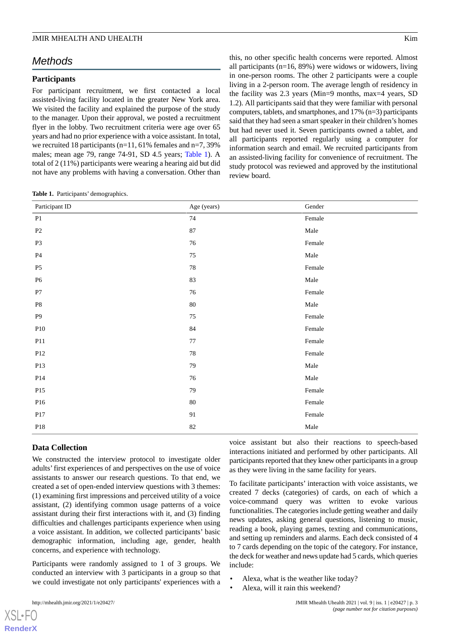# *Methods*

### **Participants**

For participant recruitment, we first contacted a local assisted-living facility located in the greater New York area. We visited the facility and explained the purpose of the study to the manager. Upon their approval, we posted a recruitment flyer in the lobby. Two recruitment criteria were age over 65 years and had no prior experience with a voice assistant. In total, we recruited 18 participants (n=11, 61% females and n=7, 39% males; mean age 79, range 74-91, SD 4.5 years; [Table 1](#page-2-0)). A total of 2 (11%) participants were wearing a hearing aid but did not have any problems with having a conversation. Other than

this, no other specific health concerns were reported. Almost all participants (n=16, 89%) were widows or widowers, living in one-person rooms. The other 2 participants were a couple living in a 2-person room. The average length of residency in the facility was 2.3 years (Min=9 months, max=4 years, SD 1.2). All participants said that they were familiar with personal computers, tablets, and smartphones, and 17% (n=3) participants said that they had seen a smart speaker in their children's homes but had never used it. Seven participants owned a tablet, and all participants reported regularly using a computer for information search and email. We recruited participants from an assisted-living facility for convenience of recruitment. The study protocol was reviewed and approved by the institutional review board.

<span id="page-2-0"></span>**Table 1.** Participants' demographics.

| Participant ID | Age (years) | Gender              |
|----------------|-------------|---------------------|
| P1             | 74          | Female              |
| P2             | 87          | Male                |
| P3             | 76          | Female              |
| $\mathbf{P}4$  | 75          | Male                |
| $\mathbf{P}5$  | 78          | Female              |
| <b>P6</b>      | 83          | Male                |
| ${\bf P}7$     | 76          | Female              |
| $\mathbf{P8}$  | $80\,$      | Male                |
| $\mathbf{P}9$  | 75          | Female              |
| P10            | 84          | $\mbox{\sf Female}$ |
| P11            | 77          | Female              |
| P12            | 78          | Female              |
| P13            | 79          | Male                |
| P14            | 76          | $\rm Male$          |
| P15            | 79          | Female              |
| P16            | $80\,$      | Female              |
| P17            | 91          | $\mbox{\sf Female}$ |
| $\mathbf{P}18$ | 82          | Male                |

#### **Data Collection**

We constructed the interview protocol to investigate older adults'first experiences of and perspectives on the use of voice assistants to answer our research questions. To that end, we created a set of open-ended interview questions with 3 themes: (1) examining first impressions and perceived utility of a voice assistant, (2) identifying common usage patterns of a voice assistant during their first interactions with it, and (3) finding difficulties and challenges participants experience when using a voice assistant. In addition, we collected participants' basic demographic information, including age, gender, health concerns, and experience with technology.

Participants were randomly assigned to 1 of 3 groups. We conducted an interview with 3 participants in a group so that we could investigate not only participants' experiences with a

[XSL](http://www.w3.org/Style/XSL)•FO **[RenderX](http://www.renderx.com/)**

voice assistant but also their reactions to speech-based interactions initiated and performed by other participants. All participants reported that they knew other participants in a group as they were living in the same facility for years.

To facilitate participants' interaction with voice assistants, we created 7 decks (categories) of cards, on each of which a voice-command query was written to evoke various functionalities. The categories include getting weather and daily news updates, asking general questions, listening to music, reading a book, playing games, texting and communications, and setting up reminders and alarms. Each deck consisted of 4 to 7 cards depending on the topic of the category. For instance, the deck for weather and news update had 5 cards, which queries include:

- Alexa, what is the weather like today?
- Alexa, will it rain this weekend?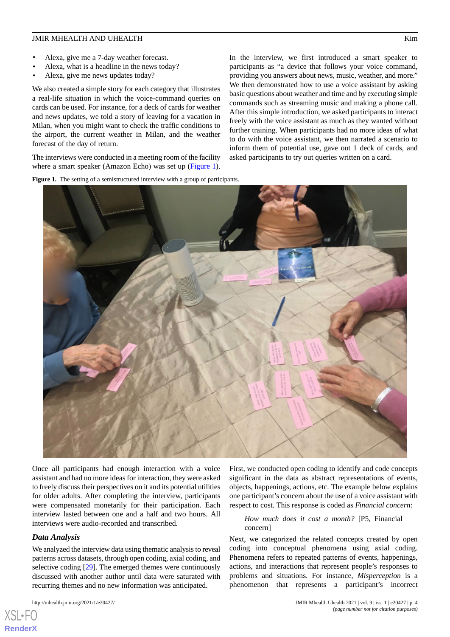- Alexa, give me a 7-day weather forecast.
- Alexa, what is a headline in the news today?
- Alexa, give me news updates today?

We also created a simple story for each category that illustrates a real-life situation in which the voice-command queries on cards can be used. For instance, for a deck of cards for weather and news updates, we told a story of leaving for a vacation in Milan, when you might want to check the traffic conditions to the airport, the current weather in Milan, and the weather forecast of the day of return.

<span id="page-3-0"></span>The interviews were conducted in a meeting room of the facility where a smart speaker (Amazon Echo) was set up ([Figure 1\)](#page-3-0).

In the interview, we first introduced a smart speaker to participants as "a device that follows your voice command, providing you answers about news, music, weather, and more." We then demonstrated how to use a voice assistant by asking basic questions about weather and time and by executing simple commands such as streaming music and making a phone call. After this simple introduction, we asked participants to interact freely with the voice assistant as much as they wanted without further training. When participants had no more ideas of what to do with the voice assistant, we then narrated a scenario to inform them of potential use, gave out 1 deck of cards, and asked participants to try out queries written on a card.





Once all participants had enough interaction with a voice assistant and had no more ideas for interaction, they were asked to freely discuss their perspectives on it and its potential utilities for older adults. After completing the interview, participants were compensated monetarily for their participation. Each interview lasted between one and a half and two hours. All interviews were audio-recorded and transcribed.

#### *Data Analysis*

[XSL](http://www.w3.org/Style/XSL)•FO **[RenderX](http://www.renderx.com/)**

We analyzed the interview data using thematic analysis to reveal patterns across datasets, through open coding, axial coding, and selective coding [\[29](#page-10-18)]. The emerged themes were continuously discussed with another author until data were saturated with recurring themes and no new information was anticipated.

First, we conducted open coding to identify and code concepts significant in the data as abstract representations of events, objects, happenings, actions, etc. The example below explains one participant's concern about the use of a voice assistant with respect to cost. This response is coded as *Financial concern*:

#### *How much does it cost a month?* [P5, Financial concern]

Next, we categorized the related concepts created by open coding into conceptual phenomena using axial coding. Phenomena refers to repeated patterns of events, happenings, actions, and interactions that represent people's responses to problems and situations. For instance, *Misperception* is a phenomenon that represents a participant's incorrect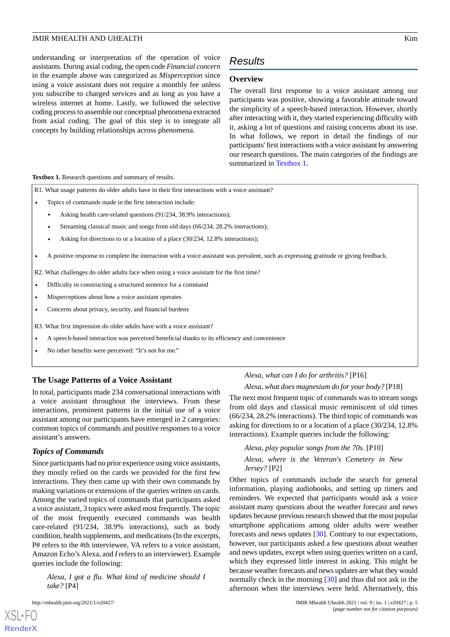understanding or interpretation of the operation of voice assistants. During axial coding, the open code *Financial concern* in the example above was categorized as *Misperception* since using a voice assistant does not require a monthly fee unless you subscribe to charged services and as long as you have a wireless internet at home. Lastly, we followed the selective coding process to assemble our conceptual phenomena extracted from axial coding. The goal of this step is to integrate all concepts by building relationships across phenomena.

# *Results*

# **Overview**

The overall first response to a voice assistant among our participants was positive, showing a favorable attitude toward the simplicity of a speech-based interaction. However, shortly after interacting with it, they started experiencing difficulty with it, asking a lot of questions and raising concerns about its use. In what follows, we report in detail the findings of our participants' first interactions with a voice assistant by answering our research questions. The main categories of the findings are summarized in [Textbox 1](#page-4-0).

#### <span id="page-4-0"></span>**Textbox 1.** Research questions and summary of results.

R1. What usage patterns do older adults have in their first interactions with a voice assistant?

- Topics of commands made in the first interaction include:
	- Asking health care-related questions (91/234, 38.9% interactions);
	- Streaming classical music and songs from old days (66/234, 28.2% interactions);
	- Asking for directions to or a location of a place (30/234, 12.8% interactions);
- A positive response to complete the interaction with a voice assistant was prevalent, such as expressing gratitude or giving feedback.

R2. What challenges do older adults face when using a voice assistant for the first time?

- Difficulty in constructing a structured sentence for a command
- Misperceptions about how a voice assistant operates
- Concerns about privacy, security, and financial burdens

R3. What first impression do older adults have with a voice assistant?

- A speech-based interaction was perceived beneficial thanks to its efficiency and convenience
- No other benefits were perceived: "It's not for me."

#### **The Usage Patterns of a Voice Assistant**

In total, participants made 234 conversational interactions with a voice assistant throughout the interviews. From these interactions, prominent patterns in the initial use of a voice assistant among our participants have emerged in 2 categories: common topics of commands and positive responses to a voice assistant's answers.

#### *Topics of Commands*

Since participants had no prior experience using voice assistants, they mostly relied on the cards we provided for the first few interactions. They then came up with their own commands by making variations or extensions of the queries written on cards. Among the varied topics of commands that participants asked a voice assistant, 3 topics were asked most frequently. The topic of the most frequently executed commands was health care-related (91/234, 38.9% interactions), such as body condition, health supplements, and medications (In the excerpts, P# refers to the #th interviewee, VA refers to a voice assistant, Amazon Echo's Alexa, and *I* refers to an interviewer). Example queries include the following:

*Alexa, I got a flu. What kind of medicine should I take?* [P4]

 $X$ SL•F $O$ **[RenderX](http://www.renderx.com/)** *Alexa, what can I do for arthritis?* [P16] *Alexa, what does magnesium do for your body?* [P18]

The next most frequent topic of commands was to stream songs from old days and classical music reminiscent of old times (66/234, 28.2% interactions). The third topic of commands was asking for directions to or a location of a place (30/234, 12.8% interactions). Example queries include the following:

# *Alexa, play popular songs from the 70s.* [P10] *Alexa, where is the Veteran's Cemetery in New Jersey?* [P2]

Other topics of commands include the search for general information, playing audiobooks, and setting up timers and reminders. We expected that participants would ask a voice assistant many questions about the weather forecast and news updates because previous research showed that the most popular smartphone applications among older adults were weather forecasts and news updates [[30\]](#page-10-19). Contrary to our expectations, however, our participants asked a few questions about weather and news updates, except when using queries written on a card, which they expressed little interest in asking. This might be because weather forecasts and news updates are what they would normally check in the morning [\[30](#page-10-19)] and thus did not ask in the afternoon when the interviews were held. Alternatively, this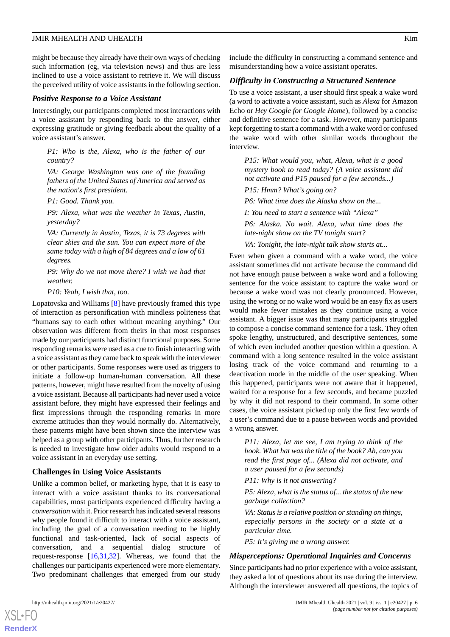might be because they already have their own ways of checking such information (eg, via television news) and thus are less inclined to use a voice assistant to retrieve it. We will discuss the perceived utility of voice assistants in the following section.

#### *Positive Response to a Voice Assistant*

Interestingly, our participants completed most interactions with a voice assistant by responding back to the answer, either expressing gratitude or giving feedback about the quality of a voice assistant's answer.

*P1: Who is the, Alexa, who is the father of our country?*

*VA: George Washington was one of the founding fathers of the United States of America and served as the nation's first president.*

*P1: Good. Thank you.*

*P9: Alexa, what was the weather in Texas, Austin, yesterday?*

*VA: Currently in Austin, Texas, it is 73 degrees with clear skies and the sun. You can expect more of the same today with a high of 84 degrees and a low of 61 degrees.*

*P9: Why do we not move there? I wish we had that weather.*

*P10: Yeah, I wish that, too.*

Lopatovska and Williams [\[8\]](#page-9-7) have previously framed this type of interaction as personification with mindless politeness that "humans say to each other without meaning anything." Our observation was different from theirs in that most responses made by our participants had distinct functional purposes. Some responding remarks were used as a cue to finish interacting with a voice assistant as they came back to speak with the interviewer or other participants. Some responses were used as triggers to initiate a follow-up human-human conversation. All these patterns, however, might have resulted from the novelty of using a voice assistant. Because all participants had never used a voice assistant before, they might have expressed their feelings and first impressions through the responding remarks in more extreme attitudes than they would normally do. Alternatively, these patterns might have been shown since the interview was helped as a group with other participants. Thus, further research is needed to investigate how older adults would respond to a voice assistant in an everyday use setting.

#### **Challenges in Using Voice Assistants**

Unlike a common belief, or marketing hype, that it is easy to interact with a voice assistant thanks to its conversational capabilities, most participants experienced difficulty having a *conversation* with it. Prior research has indicated several reasons why people found it difficult to interact with a voice assistant, including the goal of a conversation needing to be highly functional and task-oriented, lack of social aspects of conversation, and a sequential dialog structure of request-response [\[16](#page-10-5),[31](#page-11-0)[,32](#page-11-1)]. Whereas, we found that the challenges our participants experienced were more elementary. Two predominant challenges that emerged from our study

include the difficulty in constructing a command sentence and misunderstanding how a voice assistant operates.

#### *Difficulty in Constructing a Structured Sentence*

To use a voice assistant, a user should first speak a wake word (a word to activate a voice assistant, such as *Alexa* for Amazon Echo or *Hey Google for Google Home*), followed by a concise and definitive sentence for a task. However, many participants kept forgetting to start a command with a wake word or confused the wake word with other similar words throughout the interview.

*P15: What would you, what, Alexa, what is a good mystery book to read today? (A voice assistant did not activate and P15 paused for a few seconds...)*

*P15: Hmm? What's going on?*

*P6: What time does the Alaska show on the...*

*I: You need to start a sentence with "Alexa"*

*P6: Alaska. No wait. Alexa, what time does the late-night show on the TV tonight start?*

*VA: Tonight, the late-night talk show starts at...*

Even when given a command with a wake word, the voice assistant sometimes did not activate because the command did not have enough pause between a wake word and a following sentence for the voice assistant to capture the wake word or because a wake word was not clearly pronounced. However, using the wrong or no wake word would be an easy fix as users would make fewer mistakes as they continue using a voice assistant. A bigger issue was that many participants struggled to compose a concise command sentence for a task. They often spoke lengthy, unstructured, and descriptive sentences, some of which even included another question within a question. A command with a long sentence resulted in the voice assistant losing track of the voice command and returning to a deactivation mode in the middle of the user speaking. When this happened, participants were not aware that it happened, waited for a response for a few seconds, and became puzzled by why it did not respond to their command. In some other cases, the voice assistant picked up only the first few words of a user's command due to a pause between words and provided a wrong answer.

*P11: Alexa, let me see, I am trying to think of the book. What hat was the title of the book? Ah, can you read the first page of... (Alexa did not activate, and a user paused for a few seconds)*

*P11: Why is it not answering?*

*P5: Alexa, what is the status of... the status of the new garbage collection?*

*VA: Status is a relative position or standing on things, especially persons in the society or a state at a particular time.*

*P5: It's giving me a wrong answer.*

#### *Misperceptions: Operational Inquiries and Concerns*

Since participants had no prior experience with a voice assistant, they asked a lot of questions about its use during the interview. Although the interviewer answered all questions, the topics of



[XSL](http://www.w3.org/Style/XSL)•FO **[RenderX](http://www.renderx.com/)**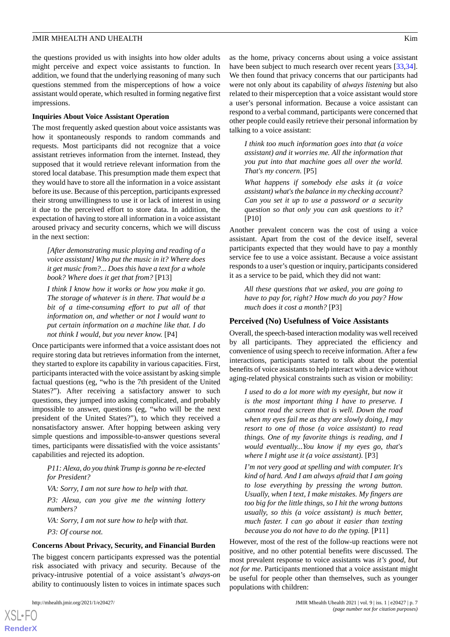the questions provided us with insights into how older adults might perceive and expect voice assistants to function. In addition, we found that the underlying reasoning of many such questions stemmed from the misperceptions of how a voice assistant would operate, which resulted in forming negative first impressions.

#### **Inquiries About Voice Assistant Operation**

The most frequently asked question about voice assistants was how it spontaneously responds to random commands and requests. Most participants did not recognize that a voice assistant retrieves information from the internet. Instead, they supposed that it would retrieve relevant information from the stored local database. This presumption made them expect that they would have to store all the information in a voice assistant before its use. Because of this perception, participants expressed their strong unwillingness to use it or lack of interest in using it due to the perceived effort to store data. In addition, the expectation of having to store all information in a voice assistant aroused privacy and security concerns, which we will discuss in the next section:

*[After demonstrating music playing and reading of a voice assistant] Who put the music in it? Where does it get music from?... Does this have a text for a whole book? Where does it get that from?* [P13]

*I think I know how it works or how you make it go. The storage of whatever is in there. That would be a bit of a time-consuming effort to put all of that information on, and whether or not I would want to put certain information on a machine like that. I do not think I would, but you never know.* [P4]

Once participants were informed that a voice assistant does not require storing data but retrieves information from the internet, they started to explore its capability in various capacities. First, participants interacted with the voice assistant by asking simple factual questions (eg, "who is the 7th president of the United States?"). After receiving a satisfactory answer to such questions, they jumped into asking complicated, and probably impossible to answer, questions (eg, "who will be the next president of the United States?"), to which they received a nonsatisfactory answer. After hopping between asking very simple questions and impossible-to-answer questions several times, participants were dissatisfied with the voice assistants' capabilities and rejected its adoption.

*P11: Alexa, do you think Trump is gonna be re-elected for President?*

*VA: Sorry, I am not sure how to help with that.*

*P3: Alexa, can you give me the winning lottery numbers?*

*VA: Sorry, I am not sure how to help with that. P3: Of course not.*

#### **Concerns About Privacy, Security, and Financial Burden**

The biggest concern participants expressed was the potential risk associated with privacy and security. Because of the privacy-intrusive potential of a voice assistant's *always-on* ability to continuously listen to voices in intimate spaces such

[XSL](http://www.w3.org/Style/XSL)•FO **[RenderX](http://www.renderx.com/)**

as the home, privacy concerns about using a voice assistant have been subject to much research over recent years [\[33](#page-11-2),[34\]](#page-11-3). We then found that privacy concerns that our participants had were not only about its capability of *always listening* but also related to their misperception that a voice assistant would store a user's personal information. Because a voice assistant can respond to a verbal command, participants were concerned that other people could easily retrieve their personal information by talking to a voice assistant:

*I think too much information goes into that (a voice assistant) and it worries me. All the information that you put into that machine goes all over the world. That's my concern.* [P5]

*What happens if somebody else asks it (a voice assistant) what's the balance in my checking account? Can you set it up to use a password or a security question so that only you can ask questions to it?* [P10]

Another prevalent concern was the cost of using a voice assistant. Apart from the cost of the device itself, several participants expected that they would have to pay a monthly service fee to use a voice assistant. Because a voice assistant responds to a user's question or inquiry, participants considered it as a service to be paid, which they did not want:

*All these questions that we asked, you are going to have to pay for, right? How much do you pay? How much does it cost a month?* [P3]

#### **Perceived (No) Usefulness of Voice Assistants**

Overall, the speech-based interaction modality was well received by all participants. They appreciated the efficiency and convenience of using speech to receive information. After a few interactions, participants started to talk about the potential benefits of voice assistants to help interact with a device without aging-related physical constraints such as vision or mobility:

*I used to do a lot more with my eyesight, but now it is the most important thing I have to preserve. I cannot read the screen that is well. Down the road when my eyes fail me as they are slowly doing, I may resort to one of those (a voice assistant) to read things. One of my favorite things is reading, and I would eventually...You know if my eyes go, that's where I might use it (a voice assistant).* [P3]

*I'm not very good at spelling and with computer. It's kind of hard. And I am always afraid that I am going to lose everything by pressing the wrong button. Usually, when I text, I make mistakes. My fingers are too big for the little things, so I hit the wrong buttons usually, so this (a voice assistant) is much better, much faster. I can go about it easier than texting because you do not have to do the typing.* [P11]

However, most of the rest of the follow-up reactions were not positive, and no other potential benefits were discussed. The most prevalent response to voice assistants was *it's good, but not for me*. Participants mentioned that a voice assistant might be useful for people other than themselves, such as younger populations with children: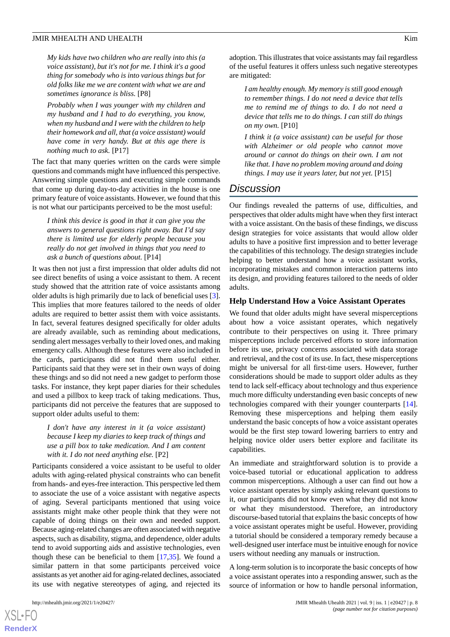*My kids have two children who are really into this (a voice assistant), but it's not for me. I think it's a good thing for somebody who is into various things but for old folks like me we are content with what we are and sometimes ignorance is bliss.* [P8]

*Probably when I was younger with my children and my husband and I had to do everything, you know, when my husband and I were with the children to help their homework and all, that (a voice assistant) would have come in very handy. But at this age there is nothing much to ask.* [P17]

The fact that many queries written on the cards were simple questions and commands might have influenced this perspective. Answering simple questions and executing simple commands that come up during day-to-day activities in the house is one primary feature of voice assistants. However, we found that this is not what our participants perceived to be the most useful:

*I think this device is good in that it can give you the answers to general questions right away. But I'd say there is limited use for elderly people because you really do not get involved in things that you need to ask a bunch of questions about.* [P14]

It was then not just a first impression that older adults did not see direct benefits of using a voice assistant to them. A recent study showed that the attrition rate of voice assistants among older adults is high primarily due to lack of beneficial uses [[3\]](#page-9-2). This implies that more features tailored to the needs of older adults are required to better assist them with voice assistants. In fact, several features designed specifically for older adults are already available, such as reminding about medications, sending alert messages verbally to their loved ones, and making emergency calls. Although these features were also included in the cards, participants did not find them useful either. Participants said that they were set in their own ways of doing these things and so did not need a new gadget to perform those tasks. For instance, they kept paper diaries for their schedules and used a pillbox to keep track of taking medications. Thus, participants did not perceive the features that are supposed to support older adults useful to them:

# *I don't have any interest in it (a voice assistant) because I keep my diaries to keep track of things and use a pill box to take medication. And I am content with it. I do not need anything else.* [P2]

Participants considered a voice assistant to be useful to older adults with aging-related physical constraints who can benefit from hands- and eyes-free interaction. This perspective led them to associate the use of a voice assistant with negative aspects of aging. Several participants mentioned that using voice assistants might make other people think that they were not capable of doing things on their own and needed support. Because aging-related changes are often associated with negative aspects, such as disability, stigma, and dependence, older adults tend to avoid supporting aids and assistive technologies, even though these can be beneficial to them [\[17](#page-10-6),[35\]](#page-11-4). We found a similar pattern in that some participants perceived voice assistants as yet another aid for aging-related declines, associated its use with negative stereotypes of aging, and rejected its

[XSL](http://www.w3.org/Style/XSL)•FO **[RenderX](http://www.renderx.com/)**

adoption. This illustrates that voice assistants may fail regardless of the useful features it offers unless such negative stereotypes are mitigated:

*I am healthy enough. My memory is still good enough to remember things. I do not need a device that tells me to remind me of things to do. I do not need a device that tells me to do things. I can still do things on my own.* [P10]

*I think it (a voice assistant) can be useful for those with Alzheimer or old people who cannot move around or cannot do things on their own. I am not like that. I have no problem moving around and doing things. I may use it years later, but not yet.* [P15]

# *Discussion*

Our findings revealed the patterns of use, difficulties, and perspectives that older adults might have when they first interact with a voice assistant. On the basis of these findings, we discuss design strategies for voice assistants that would allow older adults to have a positive first impression and to better leverage the capabilities of this technology. The design strategies include helping to better understand how a voice assistant works, incorporating mistakes and common interaction patterns into its design, and providing features tailored to the needs of older adults.

## **Help Understand How a Voice Assistant Operates**

We found that older adults might have several misperceptions about how a voice assistant operates, which negatively contribute to their perspectives on using it. Three primary misperceptions include perceived efforts to store information before its use, privacy concerns associated with data storage and retrieval, and the cost of its use. In fact, these misperceptions might be universal for all first-time users. However, further considerations should be made to support older adults as they tend to lack self-efficacy about technology and thus experience much more difficulty understanding even basic concepts of new technologies compared with their younger counterparts [[14\]](#page-10-3). Removing these misperceptions and helping them easily understand the basic concepts of how a voice assistant operates would be the first step toward lowering barriers to entry and helping novice older users better explore and facilitate its capabilities.

An immediate and straightforward solution is to provide a voice-based tutorial or educational application to address common misperceptions. Although a user can find out how a voice assistant operates by simply asking relevant questions to it, our participants did not know even what they did not know or what they misunderstood. Therefore, an introductory discourse-based tutorial that explains the basic concepts of how a voice assistant operates might be useful. However, providing a tutorial should be considered a temporary remedy because a well-designed user interface must be intuitive enough for novice users without needing any manuals or instruction.

A long-term solution is to incorporate the basic concepts of how a voice assistant operates into a responding answer, such as the source of information or how to handle personal information,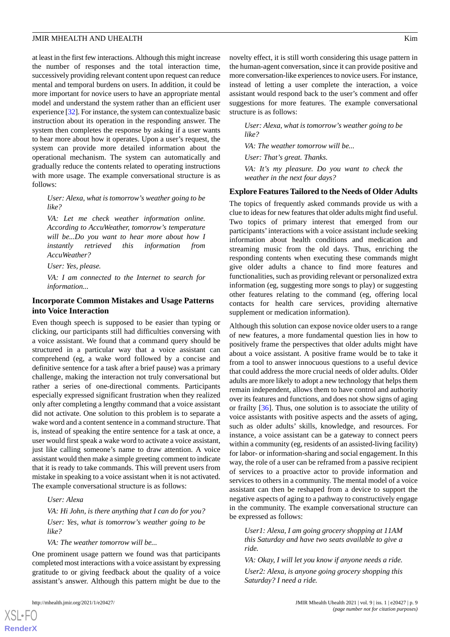at least in the first few interactions. Although this might increase the number of responses and the total interaction time, successively providing relevant content upon request can reduce mental and temporal burdens on users. In addition, it could be more important for novice users to have an appropriate mental model and understand the system rather than an efficient user experience [\[32\]](#page-11-1). For instance, the system can contextualize basic instruction about its operation in the responding answer. The system then completes the response by asking if a user wants to hear more about how it operates. Upon a user's request, the system can provide more detailed information about the operational mechanism. The system can automatically and gradually reduce the contents related to operating instructions with more usage. The example conversational structure is as follows:

*User: Alexa, what is tomorrow's weather going to be like?*

*VA: Let me check weather information online. According to AccuWeather, tomorrow's temperature will be...Do you want to hear more about how I instantly retrieved this information from AccuWeather?*

*User: Yes, please.*

*VA: I am connected to the Internet to search for information...*

# **Incorporate Common Mistakes and Usage Patterns into Voice Interaction**

Even though speech is supposed to be easier than typing or clicking, our participants still had difficulties conversing with a voice assistant. We found that a command query should be structured in a particular way that a voice assistant can comprehend (eg, a wake word followed by a concise and definitive sentence for a task after a brief pause) was a primary challenge, making the interaction not truly conversational but rather a series of one-directional comments. Participants especially expressed significant frustration when they realized only after completing a lengthy command that a voice assistant did not activate. One solution to this problem is to separate a wake word and a content sentence in a command structure. That is, instead of speaking the entire sentence for a task at once, a user would first speak a wake word to activate a voice assistant, just like calling someone's name to draw attention. A voice assistant would then make a simple greeting comment to indicate that it is ready to take commands. This will prevent users from mistake in speaking to a voice assistant when it is not activated. The example conversational structure is as follows:

#### *User: Alexa*

*VA: Hi John, is there anything that I can do for you? User: Yes, what is tomorrow's weather going to be like?*

*VA: The weather tomorrow will be...*

One prominent usage pattern we found was that participants completed most interactions with a voice assistant by expressing gratitude to or giving feedback about the quality of a voice assistant's answer. Although this pattern might be due to the

[XSL](http://www.w3.org/Style/XSL)•FO **[RenderX](http://www.renderx.com/)**

novelty effect, it is still worth considering this usage pattern in

the human-agent conversation, since it can provide positive and more conversation-like experiences to novice users. For instance, instead of letting a user complete the interaction, a voice assistant would respond back to the user's comment and offer suggestions for more features. The example conversational structure is as follows:

*User: Alexa, what is tomorrow's weather going to be like?*

*VA: The weather tomorrow will be...*

*User: That's great. Thanks.*

*VA: It's my pleasure. Do you want to check the weather in the next four days?*

#### **Explore Features Tailored to the Needs of Older Adults**

The topics of frequently asked commands provide us with a clue to ideas for new features that older adults might find useful. Two topics of primary interest that emerged from our participants'interactions with a voice assistant include seeking information about health conditions and medication and streaming music from the old days. Thus, enriching the responding contents when executing these commands might give older adults a chance to find more features and functionalities, such as providing relevant or personalized extra information (eg, suggesting more songs to play) or suggesting other features relating to the command (eg, offering local contacts for health care services, providing alternative supplement or medication information).

Although this solution can expose novice older users to a range of new features, a more fundamental question lies in how to positively frame the perspectives that older adults might have about a voice assistant. A positive frame would be to take it from a tool to answer innocuous questions to a useful device that could address the more crucial needs of older adults. Older adults are more likely to adopt a new technology that helps them remain independent, allows them to have control and authority over its features and functions, and does not show signs of aging or frailty [[36\]](#page-11-5). Thus, one solution is to associate the utility of voice assistants with positive aspects and the assets of aging, such as older adults' skills, knowledge, and resources. For instance, a voice assistant can be a gateway to connect peers within a community (eg, residents of an assisted-living facility) for labor- or information-sharing and social engagement. In this way, the role of a user can be reframed from a passive recipient of services to a proactive actor to provide information and services to others in a community. The mental model of a voice assistant can then be reshaped from a device to support the negative aspects of aging to a pathway to constructively engage in the community. The example conversational structure can be expressed as follows:

*User1: Alexa, I am going grocery shopping at 11AM this Saturday and have two seats available to give a ride.*

*VA: Okay, I will let you know if anyone needs a ride. User2: Alexa, is anyone going grocery shopping this Saturday? I need a ride.*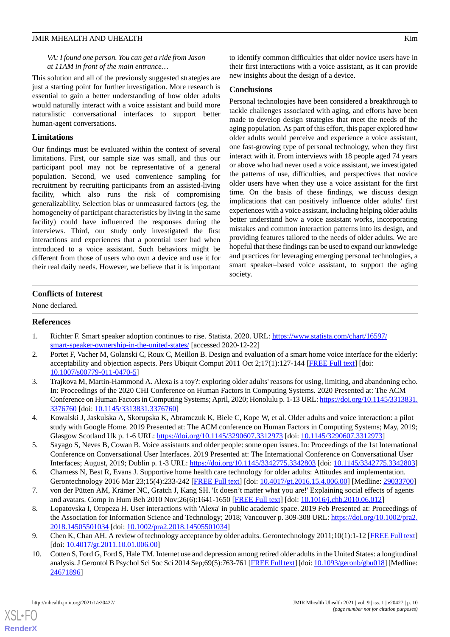*VA: I found one person. You can get a ride from Jason at 11AM in front of the main entrance…*

This solution and all of the previously suggested strategies are just a starting point for further investigation. More research is essential to gain a better understanding of how older adults would naturally interact with a voice assistant and build more naturalistic conversational interfaces to support better human-agent conversations.

#### **Limitations**

Our findings must be evaluated within the context of several limitations. First, our sample size was small, and thus our participant pool may not be representative of a general population. Second, we used convenience sampling for recruitment by recruiting participants from an assisted-living facility, which also runs the risk of compromising generalizability. Selection bias or unmeasured factors (eg, the homogeneity of participant characteristics by living in the same facility) could have influenced the responses during the interviews. Third, our study only investigated the first interactions and experiences that a potential user had when introduced to a voice assistant. Such behaviors might be different from those of users who own a device and use it for their real daily needs. However, we believe that it is important to identify common difficulties that older novice users have in their first interactions with a voice assistant, as it can provide new insights about the design of a device.

#### **Conclusions**

Personal technologies have been considered a breakthrough to tackle challenges associated with aging, and efforts have been made to develop design strategies that meet the needs of the aging population. As part of this effort, this paper explored how older adults would perceive and experience a voice assistant, one fast-growing type of personal technology, when they first interact with it. From interviews with 18 people aged 74 years or above who had never used a voice assistant, we investigated the patterns of use, difficulties, and perspectives that novice older users have when they use a voice assistant for the first time. On the basis of these findings, we discuss design implications that can positively influence older adults' first experiences with a voice assistant, including helping older adults better understand how a voice assistant works, incorporating mistakes and common interaction patterns into its design, and providing features tailored to the needs of older adults. We are hopeful that these findings can be used to expand our knowledge and practices for leveraging emerging personal technologies, a smart speaker–based voice assistant, to support the aging society.

#### **Conflicts of Interest**

<span id="page-9-0"></span>None declared.

#### <span id="page-9-1"></span>**References**

- <span id="page-9-2"></span>1. Richter F. Smart speaker adoption continues to rise. Statista. 2020. URL: [https://www.statista.com/chart/16597/](https://www.statista.com/chart/16597/smart-speaker-ownership-in-the-united-states/) [smart-speaker-ownership-in-the-united-states/](https://www.statista.com/chart/16597/smart-speaker-ownership-in-the-united-states/) [accessed 2020-12-22]
- 2. Portet F, Vacher M, Golanski C, Roux C, Meillon B. Design and evaluation of a smart home voice interface for the elderly: acceptability and objection aspects. Pers Ubiquit Comput 2011 Oct 2;17(1):127-144 [[FREE Full text](https://doi.org/10.1007/s00779-011-0470-5)] [doi: [10.1007/s00779-011-0470-5\]](http://dx.doi.org/10.1007/s00779-011-0470-5)
- <span id="page-9-3"></span>3. Trajkova M, Martin-Hammond A. Alexa is a toy?: exploring older adults' reasons for using, limiting, and abandoning echo. In: Proceedings of the 2020 CHI Conference on Human Factors in Computing Systems. 2020 Presented at: The ACM Conference on Human Factors in Computing Systems; April, 2020; Honolulu p. 1-13 URL: [https://doi.org/10.1145/3313831.](https://doi.org/10.1145/3313831.3376760) [3376760](https://doi.org/10.1145/3313831.3376760) [doi: [10.1145/3313831.3376760](http://dx.doi.org/10.1145/3313831.3376760)]
- <span id="page-9-5"></span><span id="page-9-4"></span>4. Kowalski J, Jaskulska A, Skorupska K, Abramczuk K, Biele C, Kope W, et al. Older adults and voice interaction: a pilot study with Google Home. 2019 Presented at: The ACM conference on Human Factors in Computing Systems; May, 2019; Glasgow Scotland Uk p. 1-6 URL: <https://doi.org/10.1145/3290607.3312973> [doi: [10.1145/3290607.3312973](http://dx.doi.org/10.1145/3290607.3312973)]
- <span id="page-9-7"></span><span id="page-9-6"></span>5. Sayago S, Neves B, Cowan B. Voice assistants and older people: some open issues. In: Proceedings of the 1st International Conference on Conversational User Interfaces. 2019 Presented at: The International Conference on Conversational User Interfaces; August, 2019; Dublin p. 1-3 URL:<https://doi.org/10.1145/3342775.3342803> [doi: [10.1145/3342775.3342803](http://dx.doi.org/10.1145/3342775.3342803)]
- 6. Charness N, Best R, Evans J. Supportive home health care technology for older adults: Attitudes and implementation. Gerontechnology 2016 Mar 23;15(4):233-242 [\[FREE Full text\]](http://europepmc.org/abstract/MED/29033700) [doi: [10.4017/gt.2016.15.4.006.00\]](http://dx.doi.org/10.4017/gt.2016.15.4.006.00) [Medline: [29033700\]](http://www.ncbi.nlm.nih.gov/entrez/query.fcgi?cmd=Retrieve&db=PubMed&list_uids=29033700&dopt=Abstract)
- <span id="page-9-9"></span><span id="page-9-8"></span>7. von der Pütten AM, Krämer NC, Gratch J, Kang SH. 'It doesn't matter what you are!' Explaining social effects of agents and avatars. Comp in Hum Beh 2010 Nov;26(6):1641-1650 [[FREE Full text](https://doi.org/10.1016/j.chb.2010.06.012)] [doi: [10.1016/j.chb.2010.06.012](http://dx.doi.org/10.1016/j.chb.2010.06.012)]
- 8. Lopatovska I, Oropeza H. User interactions with 'Alexa' in public academic space. 2019 Feb Presented at: Proceedings of the Association for Information Science and Technology; 2018; Vancouver p. 309-308 URL: [https://doi.org/10.1002/pra2.](https://doi.org/10.1002/pra2.2018.14505501034) [2018.14505501034](https://doi.org/10.1002/pra2.2018.14505501034) [doi: [10.1002/pra2.2018.14505501034\]](http://dx.doi.org/10.1002/pra2.2018.14505501034)
- 9. Chen K, Chan AH. A review of technology acceptance by older adults. Gerontechnology 2011;10(1):1-12 [[FREE Full text](https://doi.org/10.4017/gt.2011.10.01.006.00)] [doi: [10.4017/gt.2011.10.01.006.00](http://dx.doi.org/10.4017/gt.2011.10.01.006.00)]
- 10. Cotten S, Ford G, Ford S, Hale TM. Internet use and depression among retired older adults in the United States: a longitudinal analysis. J Gerontol B Psychol Sci Soc Sci 2014 Sep;69(5):763-761 [[FREE Full text\]](https://doi.org/10.1093/geronb/gbu018) [doi: [10.1093/geronb/gbu018\]](http://dx.doi.org/10.1093/geronb/gbu018) [Medline: [24671896](http://www.ncbi.nlm.nih.gov/entrez/query.fcgi?cmd=Retrieve&db=PubMed&list_uids=24671896&dopt=Abstract)]

[XSL](http://www.w3.org/Style/XSL)•FO **[RenderX](http://www.renderx.com/)**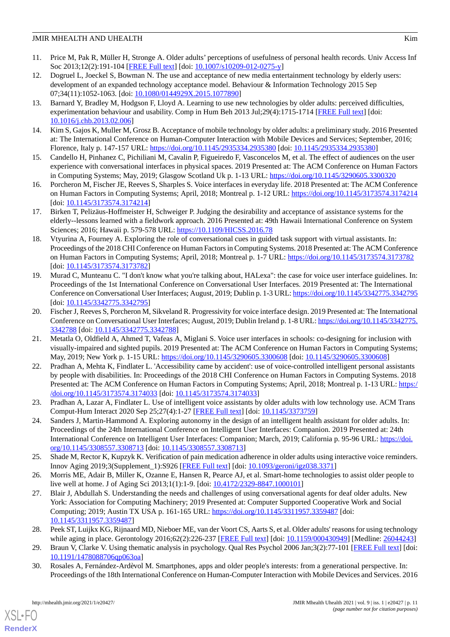- <span id="page-10-0"></span>11. Price M, Pak R, Müller H, Stronge A. Older adults' perceptions of usefulness of personal health records. Univ Access Inf Soc 2013;12(2):191-104 [\[FREE Full text\]](https://doi.org/10.1007/s10209-012-0275-y) [doi: [10.1007/s10209-012-0275-y](http://dx.doi.org/10.1007/s10209-012-0275-y)]
- <span id="page-10-1"></span>12. Dogruel L, Joeckel S, Bowman N. The use and acceptance of new media entertainment technology by elderly users: development of an expanded technology acceptance model. Behaviour & Information Technology 2015 Sep 07;34(11):1052-1063. [doi: [10.1080/0144929X.2015.1077890\]](http://dx.doi.org/10.1080/0144929X.2015.1077890)
- <span id="page-10-2"></span>13. Barnard Y, Bradley M, Hodgson F, Lloyd A. Learning to use new technologies by older adults: perceived difficulties, experimentation behaviour and usability. Comp in Hum Beh 2013 Jul;29(4):1715-1714 [[FREE Full text](https://doi.org/10.1016/j.chb.2013.02.006)] [doi: [10.1016/j.chb.2013.02.006\]](http://dx.doi.org/10.1016/j.chb.2013.02.006)
- <span id="page-10-4"></span><span id="page-10-3"></span>14. Kim S, Gajos K, Muller M, Grosz B. Acceptance of mobile technology by older adults: a preliminary study. 2016 Presented at: The International Conference on Human-Computer Interaction with Mobile Devices and Services; September, 2016; Florence, Italy p. 147-157 URL:<https://doi.org/10.1145/2935334.2935380> [doi: [10.1145/2935334.2935380\]](http://dx.doi.org/10.1145/2935334.2935380)
- <span id="page-10-5"></span>15. Candello H, Pinhanez C, Pichiliani M, Cavalin P, Figueiredo F, Vasconcelos M, et al. The effect of audiences on the user experience with conversational interfaces in physical spaces. 2019 Presented at: The ACM Conference on Human Factors in Computing Systems; May, 2019; Glasgow Scotland Uk p. 1-13 URL:<https://doi.org/10.1145/3290605.3300320>
- <span id="page-10-6"></span>16. Porcheron M, Fischer JE, Reeves S, Sharples S. Voice interfaces in everyday life. 2018 Presented at: The ACM Conference on Human Factors in Computing Systems; April, 2018; Montreal p. 1-12 URL: <https://doi.org/10.1145/3173574.3174214> [doi: [10.1145/3173574.3174214\]](http://dx.doi.org/10.1145/3173574.3174214)
- <span id="page-10-7"></span>17. Birken T, Pelizäus-Hoffmeister H, Schweiger P. Judging the desirability and acceptance of assistance systems for the elderly--lessons learned with a fieldwork approach. 2016 Presented at: 49th Hawaii International Conference on System Sciences; 2016; Hawaii p. 579-578 URL:<https://10.1109/HICSS.2016.78>
- <span id="page-10-8"></span>18. Vtyurina A, Fourney A. Exploring the role of conversational cues in guided task support with virtual assistants. In: Proceedings of the 2018 CHI Conference on Human Factors in Computing Systems. 2018 Presented at: The ACM Conference on Human Factors in Computing Systems; April, 2018; Montreal p. 1-7 URL: <https://doi.org/10.1145/3173574.3173782> [doi: [10.1145/3173574.3173782\]](http://dx.doi.org/10.1145/3173574.3173782)
- <span id="page-10-9"></span>19. Murad C, Munteanu C. "I don't know what you're talking about, HALexa": the case for voice user interface guidelines. In: Proceedings of the 1st International Conference on Conversational User Interfaces. 2019 Presented at: The International Conference on Conversational User Interfaces; August, 2019; Dublin p. 1-3 URL:<https://doi.org/10.1145/3342775.3342795> [doi: [10.1145/3342775.3342795\]](http://dx.doi.org/10.1145/3342775.3342795)
- <span id="page-10-10"></span>20. Fischer J, Reeves S, Porcheron M, Sikveland R. Progressivity for voice interface design. 2019 Presented at: The International Conference on Conversational User Interfaces; August, 2019; Dublin Ireland p. 1-8 URL: [https://doi.org/10.1145/3342775.](https://doi.org/10.1145/3342775.3342788) [3342788](https://doi.org/10.1145/3342775.3342788) [doi: [10.1145/3342775.3342788](http://dx.doi.org/10.1145/3342775.3342788)]
- <span id="page-10-11"></span>21. Metatla O, Oldfield A, Ahmed T, Vafeas A, Miglani S. Voice user interfaces in schools: co-designing for inclusion with visually-impaired and sighted pupils. 2019 Presented at: The ACM Conference on Human Factors in Computing Systems; May, 2019; New York p. 1-15 URL: <https://doi.org/10.1145/3290605.3300608> [doi: [10.1145/3290605.3300608](http://dx.doi.org/10.1145/3290605.3300608)]
- <span id="page-10-13"></span><span id="page-10-12"></span>22. Pradhan A, Mehta K, Findlater L. 'Accessibility came by accident': use of voice-controlled intelligent personal assistants by people with disabilities. In: Proceedings of the 2018 CHI Conference on Human Factors in Computing Systems. 2018 Presented at: The ACM Conference on Human Factors in Computing Systems; April, 2018; Montreal p. 1-13 URL: [https:/](https://doi.org/10.1145/3173574.3174033) [/doi.org/10.1145/3173574.3174033](https://doi.org/10.1145/3173574.3174033) [doi: [10.1145/3173574.3174033\]](http://dx.doi.org/10.1145/3173574.3174033)
- 23. Pradhan A, Lazar A, Findlater L. Use of intelligent voice assistants by older adults with low technology use. ACM Trans Comput-Hum Interact 2020 Sep 25;27(4):1-27 [[FREE Full text](https://doi.org/10.1145/3373759)] [doi: [10.1145/3373759\]](http://dx.doi.org/10.1145/3373759)
- <span id="page-10-15"></span><span id="page-10-14"></span>24. Sanders J, Martin-Hammond A. Exploring autonomy in the design of an intelligent health assistant for older adults. In: Proceedings of the 24th International Conference on Intelligent User Interfaces: Companion. 2019 Presented at: 24th International Conference on Intelligent User Interfaces: Companion; March, 2019; California p. 95-96 URL: [https://doi.](https://doi.org/10.1145/3308557.3308713) [org/10.1145/3308557.3308713](https://doi.org/10.1145/3308557.3308713) [doi: [10.1145/3308557.3308713\]](http://dx.doi.org/10.1145/3308557.3308713)
- <span id="page-10-16"></span>25. Shade M, Rector K, Kupzyk K. Verification of pain medication adherence in older adults using interactive voice reminders. Innov Aging 2019;3(Supplement\_1):S926 [\[FREE Full text\]](https://www.ncbi.nlm.nih.gov/pmc/articles/PMC6845337/) [doi: [10.1093/geroni/igz038.3371](http://dx.doi.org/10.1093/geroni/igz038.3371)]
- <span id="page-10-17"></span>26. Morris ME, Adair B, Miller K, Ozanne E, Hansen R, Pearce AJ, et al. Smart-home technologies to assist older people to live well at home. J of Aging Sci 2013;1(1):1-9. [doi: [10.4172/2329-8847.1000101](http://dx.doi.org/10.4172/2329-8847.1000101)]
- <span id="page-10-19"></span><span id="page-10-18"></span>27. Blair J, Abdullah S. Understanding the needs and challenges of using conversational agents for deaf older adults. New York: Association for Computing Machinery; 2019 Presented at: Computer Supported Cooperative Work and Social Computing; 2019; Austin TX USA p. 161-165 URL: <https://doi.org/10.1145/3311957.3359487> [doi: [10.1145/3311957.3359487](http://dx.doi.org/10.1145/3311957.3359487)]
- 28. Peek ST, Luijkx KG, Rijnaard MD, Nieboer ME, van der Voort CS, Aarts S, et al. Older adults' reasons for using technology while aging in place. Gerontology 2016;62(2):226-237 [[FREE Full text](https://www.karger.com?DOI=10.1159/000430949)] [doi: [10.1159/000430949\]](http://dx.doi.org/10.1159/000430949) [Medline: [26044243\]](http://www.ncbi.nlm.nih.gov/entrez/query.fcgi?cmd=Retrieve&db=PubMed&list_uids=26044243&dopt=Abstract)
- 29. Braun V, Clarke V. Using thematic analysis in psychology. Qual Res Psychol 2006 Jan;3(2):77-101 [[FREE Full text](https://doi.org/10.1191/1478088706qp063oa)] [doi: [10.1191/1478088706qp063oa](http://dx.doi.org/10.1191/1478088706qp063oa)]
- 30. Rosales A, Fernández-Ardèvol M. Smartphones, apps and older people's interests: from a generational perspective. In: Proceedings of the 18th International Conference on Human-Computer Interaction with Mobile Devices and Services. 2016

 $XS$  $\cdot$ FC **[RenderX](http://www.renderx.com/)**